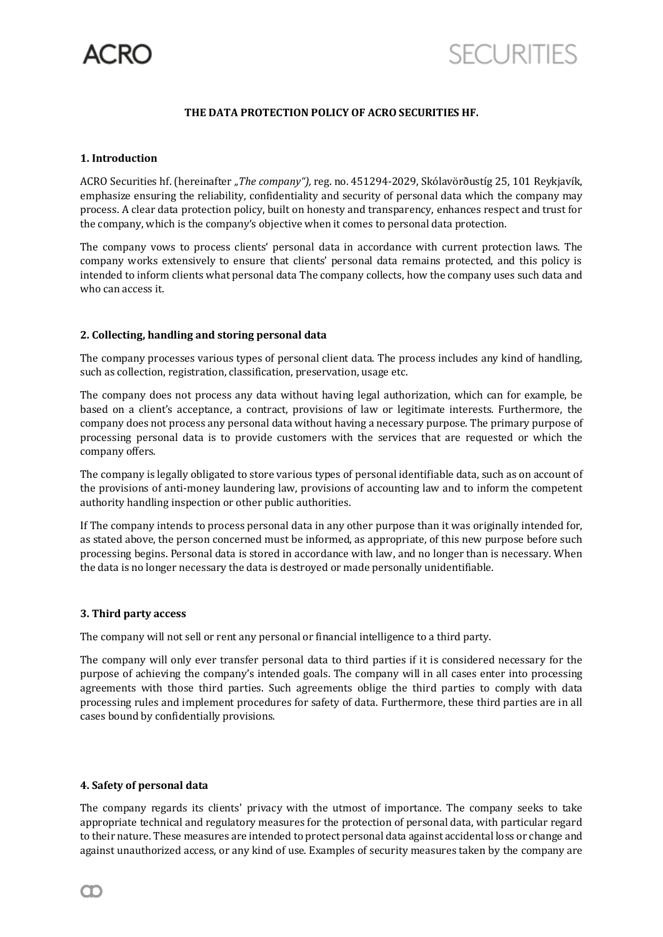

# **THE DATA PROTECTION POLICY OF ACRO SECURITIES HF.**

### **1. Introduction**

ACRO Securities hf. (hereinafter *"The company"),* reg. no. 451294-2029, Skólavörðustíg 25, 101 Reykjavík, emphasize ensuring the reliability, confidentiality and security of personal data which the company may process. A clear data protection policy, built on honesty and transparency, enhances respect and trust for the company, which is the company's objective when it comes to personal data protection.

The company vows to process clients' personal data in accordance with current protection laws. The company works extensively to ensure that clients' personal data remains protected, and this policy is intended to inform clients what personal data The company collects, how the company uses such data and who can access it.

## **2. Collecting, handling and storing personal data**

The company processes various types of personal client data. The process includes any kind of handling, such as collection, registration, classification, preservation, usage etc.

The company does not process any data without having legal authorization, which can for example, be based on a client's acceptance, a contract, provisions of law or legitimate interests. Furthermore, the company does not process any personal data without having a necessary purpose. The primary purpose of processing personal data is to provide customers with the services that are requested or which the company offers.

The company is legally obligated to store various types of personal identifiable data, such as on account of the provisions of anti-money laundering law, provisions of accounting law and to inform the competent authority handling inspection or other public authorities.

If The company intends to process personal data in any other purpose than it was originally intended for, as stated above, the person concerned must be informed, as appropriate, of this new purpose before such processing begins. Personal data is stored in accordance with law, and no longer than is necessary. When the data is no longer necessary the data is destroyed or made personally unidentifiable.

#### **3. Third party access**

The company will not sell or rent any personal or financial intelligence to a third party.

The company will only ever transfer personal data to third parties if it is considered necessary for the purpose of achieving the company's intended goals. The company will in all cases enter into processing agreements with those third parties. Such agreements oblige the third parties to comply with data processing rules and implement procedures for safety of data. Furthermore, these third parties are in all cases bound by confidentially provisions.

#### **4. Safety of personal data**

The company regards its clients' privacy with the utmost of importance. The company seeks to take appropriate technical and regulatory measures for the protection of personal data, with particular regard to their nature. These measures are intended to protect personal data against accidental loss or change and against unauthorized access, or any kind of use. Examples of security measures taken by the company are